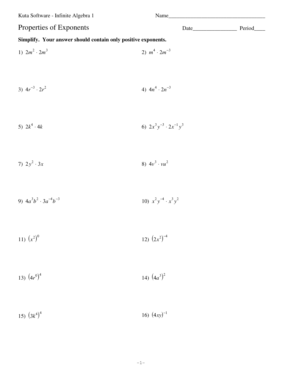Kuta Software - Infinite Algebra 1

Properties of Exponents

## Simplify. Your answer should contain only positive exponents.

1) 
$$
2m^2 \tcdot 2m^3
$$
  
\n2)  $m^4 \tcdot 2m^{-3}$   
\n3)  $4r^{-3} \tcdot 2r^2$   
\n4)  $4n^4 \tcdot 2n^{-3}$   
\n5)  $2k^4 \tcdot 4k$   
\n6)  $2x^3y^{-3} \tcdot 2x^{-1}y^3$   
\n7)  $2y^2 \tcdot 3x$   
\n8)  $4v^3 \tcdot vu^2$   
\n9)  $4a^3b^2 \tcdot 3a^{-4}b^{-3}$   
\n10)  $x^2y^{-4} \tcdot x^3y^2$   
\n11)  $(x^2)^0$   
\n12)  $(2x^2)^{-4}$ 

14)  $(4a^3)^2$ 13)  $(4r^0)^4$ 

15)  $(3k^4)^4$ 16)  $(4xy)^{-1}$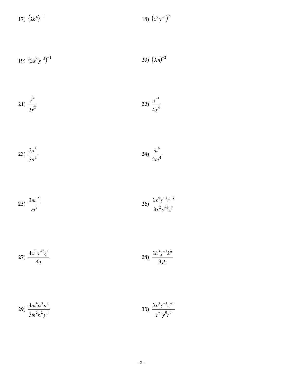$$
17)\ \left(2b^4\right)^{-1}
$$

$$
19)\ \left(2x^4y^{-3}\right)^{-1} \tag{3m}^2
$$

$$
21) \frac{r^2}{2r^3} \qquad \qquad 22) \frac{x^{-1}}{4x^4}
$$

$$
23) \frac{3n^4}{3n^3} \qquad \qquad 24) \frac{m^4}{2m^4}
$$

$$
25) \frac{3m^{-4}}{m^3} \qquad \qquad 26) \frac{2x^4y^{-4}z^{-3}}{3x^2y^{-3}z^4}
$$

27) 
$$
\frac{4x^0y^{-2}z^3}{4x}
$$
 28) 
$$
\frac{2h^3j^{-3}k^4}{3jk}
$$

$$
29) \frac{4m^4n^3p^3}{3m^2n^2p^4}
$$
 
$$
30) \frac{3x^3y^{-1}z^{-1}}{x^{-4}y^0z^0}
$$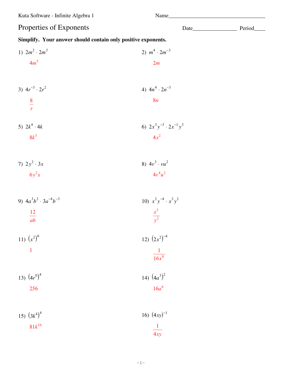Kuta Software - Infinite Algebra 1

Properties of Exponents

## Simplify. Your answer should contain only positive exponents.

1) 
$$
2m^2 \cdot 2m^3
$$
  
\n2)  $m^4 \cdot 2m^{-3}$   
\n3)  $4r^{-3} \cdot 2r^2$   
\n4)  $4n^4 \cdot 2n^{-3}$   
\n5)  $2k^4 \cdot 4k$   
\n8 $k^5$   
\n6)  $2x^3y^{-3} \cdot 2x^{-1}y^3$   
\n7)  $2y^2 \cdot 3x$   
\n6 $y^2x$   
\n9)  $4a^3b^2 \cdot 3a^{-4}b^{-3}$   
\n10)  $x^2y^{-4} \cdot x^3y^2$   
\n11)  $(x^2)^0$   
\n12)  $(2x^2)^{-4}$   
\n13)  $(4r^0)^4$   
\n256  
\n16)  $(4x^0)^4$   
\n17)  $(4a^3)^2$   
\n18)  $(4x^0)^4$   
\n19)  $(4a^3)^2$   
\n10)  $(x^2)^0$   
\n11)  $(x^2)^0$   
\n12)  $(2x^2)^{-4}$   
\n13)  $(4r^0)^4$   
\n14)  $(4a^3)^2$   
\n15)  $(4x^0)^4$   
\n16)  $(4x^1)^{-1}$ 

15) 
$$
(3k^4)^4
$$
  
81k<sup>16</sup>  
 $\frac{1}{4xy}$ 

 $-1-$